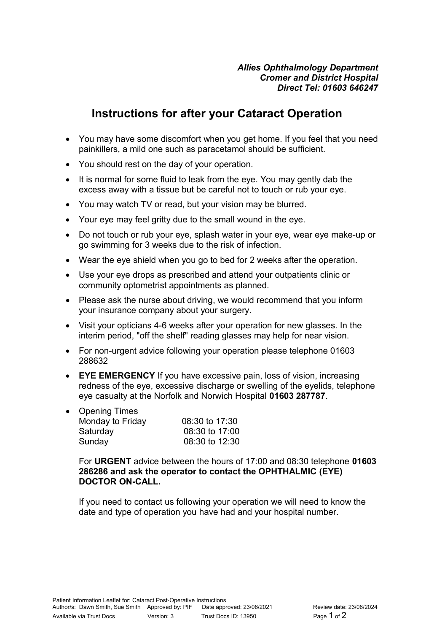## **Instructions for after your Cataract Operation**

- You may have some discomfort when you get home. If you feel that you need painkillers, a mild one such as paracetamol should be sufficient.
- You should rest on the day of your operation.
- It is normal for some fluid to leak from the eye. You may gently dab the excess away with a tissue but be careful not to touch or rub your eye.
- You may watch TV or read, but your vision may be blurred.
- Your eye may feel gritty due to the small wound in the eye.
- Do not touch or rub your eye, splash water in your eye, wear eye make-up or go swimming for 3 weeks due to the risk of infection.
- Wear the eye shield when you go to bed for 2 weeks after the operation.
- Use your eye drops as prescribed and attend your outpatients clinic or community optometrist appointments as planned.
- Please ask the nurse about driving, we would recommend that you inform your insurance company about your surgery.
- Visit your opticians 4-6 weeks after your operation for new glasses. In the interim period, "off the shelf" reading glasses may help for near vision.
- For non-urgent advice following your operation please telephone 01603 288632
- **EYE EMERGENCY** If you have excessive pain, loss of vision, increasing redness of the eye, excessive discharge or swelling of the eyelids, telephone eye casualty at the Norfolk and Norwich Hospital **01603 287787**.

| 08:30 to 17:30 |
|----------------|
| 08:30 to 17:00 |
| 08:30 to 12:30 |
|                |

For **URGENT** advice between the hours of 17:00 and 08:30 telephone **01603 286286 and ask the operator to contact the OPHTHALMIC (EYE) DOCTOR ON-CALL.**

If you need to contact us following your operation we will need to know the date and type of operation you have had and your hospital number.